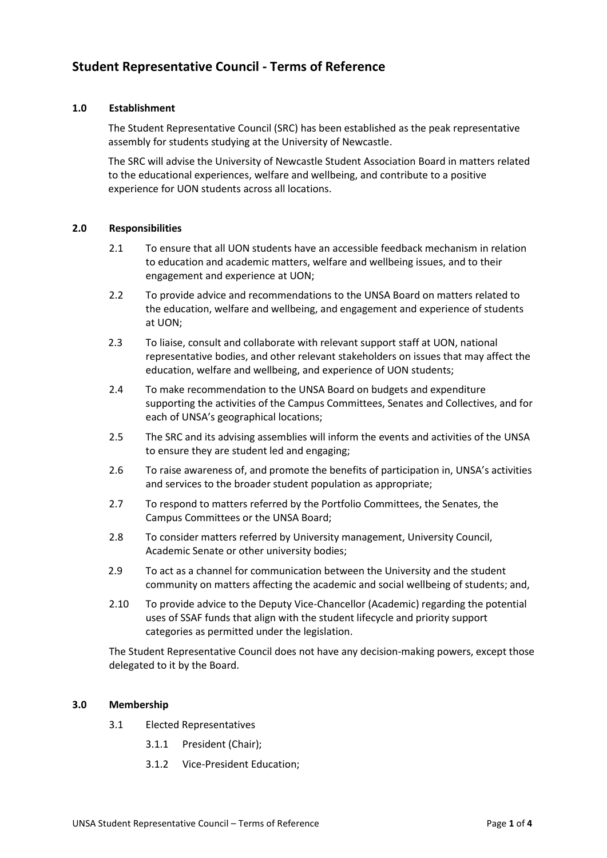# **Student Representative Council - Terms of Reference**

## **1.0 Establishment**

The Student Representative Council (SRC) has been established as the peak representative assembly for students studying at the University of Newcastle.

The SRC will advise the University of Newcastle Student Association Board in matters related to the educational experiences, welfare and wellbeing, and contribute to a positive experience for UON students across all locations.

#### **2.0 Responsibilities**

- 2.1 To ensure that all UON students have an accessible feedback mechanism in relation to education and academic matters, welfare and wellbeing issues, and to their engagement and experience at UON;
- 2.2 To provide advice and recommendations to the UNSA Board on matters related to the education, welfare and wellbeing, and engagement and experience of students at UON;
- 2.3 To liaise, consult and collaborate with relevant support staff at UON, national representative bodies, and other relevant stakeholders on issues that may affect the education, welfare and wellbeing, and experience of UON students;
- 2.4 To make recommendation to the UNSA Board on budgets and expenditure supporting the activities of the Campus Committees, Senates and Collectives, and for each of UNSA's geographical locations;
- 2.5 The SRC and its advising assemblies will inform the events and activities of the UNSA to ensure they are student led and engaging;
- 2.6 To raise awareness of, and promote the benefits of participation in, UNSA's activities and services to the broader student population as appropriate;
- 2.7 To respond to matters referred by the Portfolio Committees, the Senates, the Campus Committees or the UNSA Board;
- 2.8 To consider matters referred by University management, University Council, Academic Senate or other university bodies;
- 2.9 To act as a channel for communication between the University and the student community on matters affecting the academic and social wellbeing of students; and,
- 2.10 To provide advice to the Deputy Vice-Chancellor (Academic) regarding the potential uses of SSAF funds that align with the student lifecycle and priority support categories as permitted under the legislation.

The Student Representative Council does not have any decision-making powers, except those delegated to it by the Board.

#### **3.0 Membership**

- 3.1 Elected Representatives
	- 3.1.1 President (Chair);
	- 3.1.2 Vice-President Education;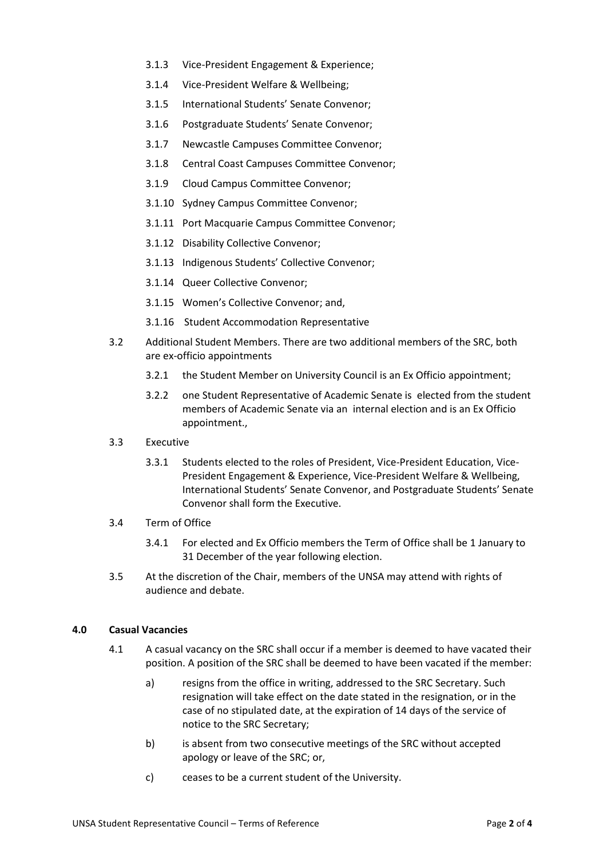- 3.1.3 Vice-President Engagement & Experience;
- 3.1.4 Vice-President Welfare & Wellbeing;
- 3.1.5 International Students' Senate Convenor;
- 3.1.6 Postgraduate Students' Senate Convenor;
- 3.1.7 Newcastle Campuses Committee Convenor;
- 3.1.8 Central Coast Campuses Committee Convenor;
- 3.1.9 Cloud Campus Committee Convenor;
- 3.1.10 Sydney Campus Committee Convenor;
- 3.1.11 Port Macquarie Campus Committee Convenor;
- 3.1.12 Disability Collective Convenor;
- 3.1.13 Indigenous Students' Collective Convenor;
- 3.1.14 Queer Collective Convenor;
- 3.1.15 Women's Collective Convenor; and,
- 3.1.16 Student Accommodation Representative
- 3.2 Additional Student Members. There are two additional members of the SRC, both are ex-officio appointments
	- 3.2.1 the Student Member on University Council is an Ex Officio appointment;
	- 3.2.2 one Student Representative of Academic Senate is elected from the student members of Academic Senate via an internal election and is an Ex Officio appointment.,
- 3.3 Executive
	- 3.3.1 Students elected to the roles of President, Vice-President Education, Vice-President Engagement & Experience, Vice-President Welfare & Wellbeing, International Students' Senate Convenor, and Postgraduate Students' Senate Convenor shall form the Executive.

#### 3.4 Term of Office

- 3.4.1 For elected and Ex Officio members the Term of Office shall be 1 January to 31 December of the year following election.
- 3.5 At the discretion of the Chair, members of the UNSA may attend with rights of audience and debate.

#### **4.0 Casual Vacancies**

- 4.1 A casual vacancy on the SRC shall occur if a member is deemed to have vacated their position. A position of the SRC shall be deemed to have been vacated if the member:
	- a) resigns from the office in writing, addressed to the SRC Secretary. Such resignation will take effect on the date stated in the resignation, or in the case of no stipulated date, at the expiration of 14 days of the service of notice to the SRC Secretary;
	- b) is absent from two consecutive meetings of the SRC without accepted apology or leave of the SRC; or,
	- c) ceases to be a current student of the University.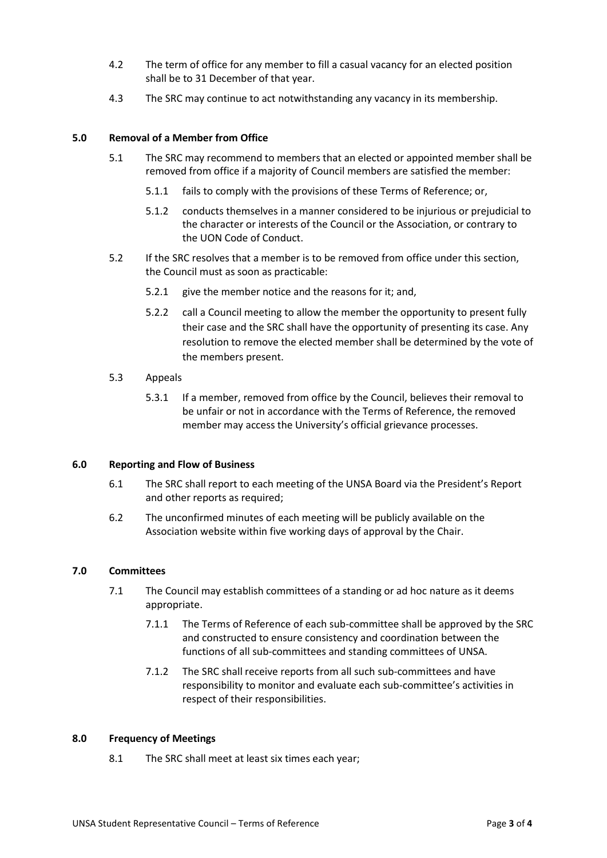- 4.2 The term of office for any member to fill a casual vacancy for an elected position shall be to 31 December of that year.
- 4.3 The SRC may continue to act notwithstanding any vacancy in its membership.

### **5.0 Removal of a Member from Office**

- 5.1 The SRC may recommend to members that an elected or appointed member shall be removed from office if a majority of Council members are satisfied the member:
	- 5.1.1 fails to comply with the provisions of these Terms of Reference; or,
	- 5.1.2 conducts themselves in a manner considered to be injurious or prejudicial to the character or interests of the Council or the Association, or contrary to the UON Code of Conduct.
- 5.2 If the SRC resolves that a member is to be removed from office under this section, the Council must as soon as practicable:
	- 5.2.1 give the member notice and the reasons for it; and,
	- 5.2.2 call a Council meeting to allow the member the opportunity to present fully their case and the SRC shall have the opportunity of presenting its case. Any resolution to remove the elected member shall be determined by the vote of the members present.
- 5.3 Appeals
	- 5.3.1 If a member, removed from office by the Council, believes their removal to be unfair or not in accordance with the Terms of Reference, the removed member may access the University's official grievance processes.

#### **6.0 Reporting and Flow of Business**

- 6.1 The SRC shall report to each meeting of the UNSA Board via the President's Report and other reports as required;
- 6.2 The unconfirmed minutes of each meeting will be publicly available on the Association website within five working days of approval by the Chair.

#### **7.0 Committees**

- 7.1 The Council may establish committees of a standing or ad hoc nature as it deems appropriate.
	- 7.1.1 The Terms of Reference of each sub-committee shall be approved by the SRC and constructed to ensure consistency and coordination between the functions of all sub-committees and standing committees of UNSA.
	- 7.1.2 The SRC shall receive reports from all such sub-committees and have responsibility to monitor and evaluate each sub-committee's activities in respect of their responsibilities.

#### **8.0 Frequency of Meetings**

8.1 The SRC shall meet at least six times each year;